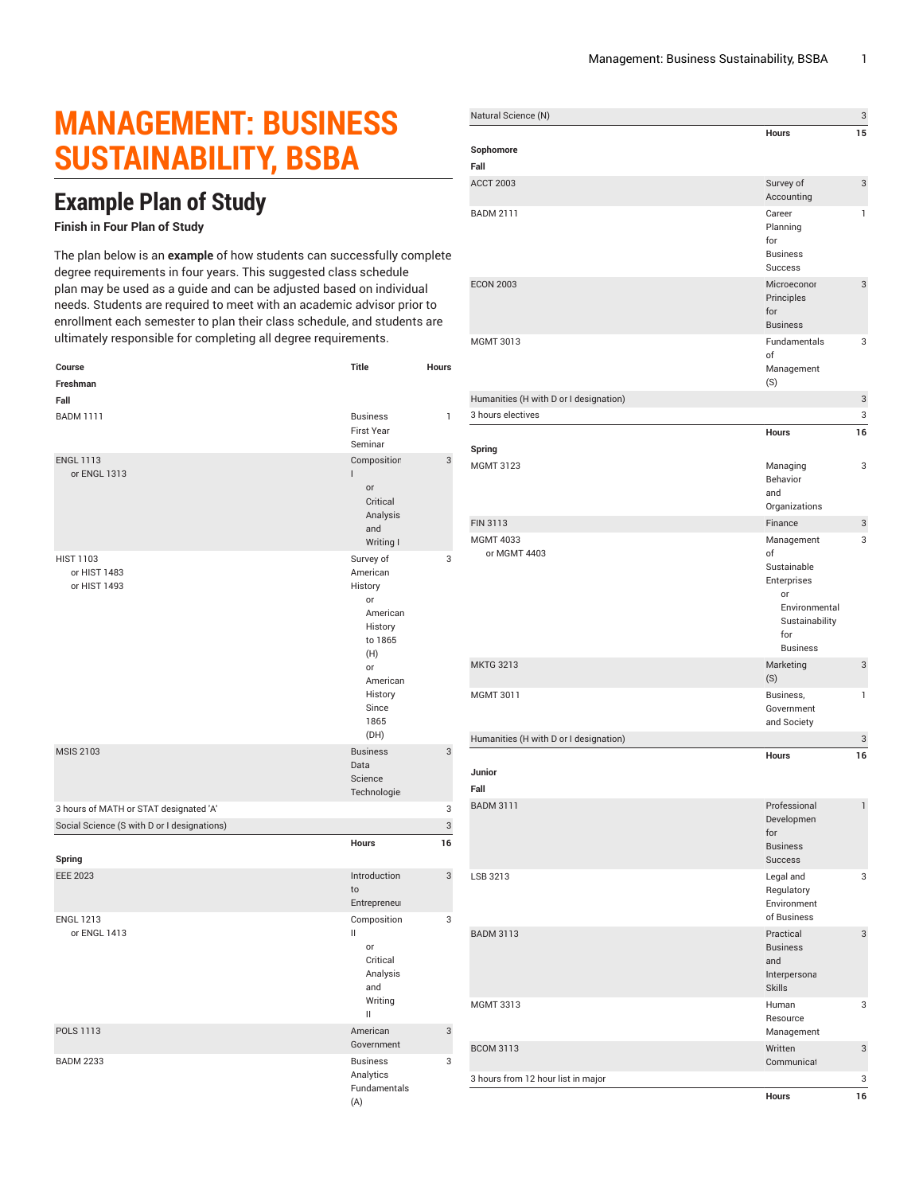## **MANAGEMENT: BUSINESS SUSTAINABILITY, BSBA**

## **Example Plan of Study**

## **Finish in Four Plan of Study**

The plan below is an **example** of how students can successfully complete degree requirements in four years. This suggested class schedule plan may be used as a guide and can be adjusted based on individual needs. Students are required to meet with an academic advisor prior to enrollment each semester to plan their class schedule, and students are ultimately responsible for completing all degree requirements.

| Course                                      | Title                                                                                                                    | Hours        |
|---------------------------------------------|--------------------------------------------------------------------------------------------------------------------------|--------------|
| Freshman                                    |                                                                                                                          |              |
| Fall<br><b>BADM 1111</b>                    | <b>Business</b>                                                                                                          | $\mathbf{1}$ |
|                                             | <b>First Year</b>                                                                                                        |              |
|                                             | Seminar                                                                                                                  |              |
| <b>ENGL 1113</b><br>or ENGL 1313            | Composition<br>L<br>or<br>Critical<br>Analysis<br>and<br>Writing I                                                       | 3            |
| <b>HIST 1103</b>                            | Survey of                                                                                                                | 3            |
| or HIST 1483<br>or HIST 1493                | American<br>History<br>or<br>American<br>History<br>to 1865<br>(H)<br>or<br>American<br>History<br>Since<br>1865<br>(DH) |              |
| <b>MSIS 2103</b>                            | <b>Business</b><br>Data<br>Science<br>Technologie:                                                                       | 3            |
| 3 hours of MATH or STAT designated 'A'      |                                                                                                                          | 3            |
| Social Science (S with D or I designations) |                                                                                                                          | 3            |
|                                             | <b>Hours</b>                                                                                                             | 16           |
| Spring                                      |                                                                                                                          |              |
| <b>EEE 2023</b>                             | Introduction<br>to<br>Entrepreneur                                                                                       | 3            |
| <b>ENGL 1213</b><br>or ENGL 1413            | Composition<br>Ш<br>or<br>Critical<br>Analysis<br>and<br>Writing<br>$\mathbf{II}$                                        | 3            |
| POLS 1113                                   | American<br>Government                                                                                                   | 3            |
| <b>BADM 2233</b>                            | <b>Business</b><br>Analytics<br>Fundamentals<br>(A)                                                                      | 3            |

| Natural Science (N)                    |                                                                                                                   | 3  |
|----------------------------------------|-------------------------------------------------------------------------------------------------------------------|----|
| Sophomore                              | <b>Hours</b>                                                                                                      | 15 |
| Fall                                   |                                                                                                                   |    |
| <b>ACCT 2003</b>                       | Survey of<br>Accounting                                                                                           | 3  |
| <b>BADM 2111</b>                       | Career<br>Planning<br>for<br><b>Business</b><br><b>Success</b>                                                    | 1  |
| <b>ECON 2003</b>                       | Microeconor<br>Principles<br>for<br><b>Business</b>                                                               | 3  |
| MGMT 3013                              | Fundamentals<br>of<br>Management<br>(S)                                                                           | 3  |
| Humanities (H with D or I designation) |                                                                                                                   | 3  |
| 3 hours electives                      |                                                                                                                   | 3  |
|                                        | Hours                                                                                                             | 16 |
| Spring                                 |                                                                                                                   |    |
| <b>MGMT 3123</b>                       | Managing<br>Behavior<br>and<br>Organizations                                                                      | 3  |
| FIN 3113                               | Finance                                                                                                           | 3  |
| <b>MGMT 4033</b><br>or MGMT 4403       | Management<br>of<br>Sustainable<br>Enterprises<br>or<br>Environmental<br>Sustainability<br>for<br><b>Business</b> | 3  |
| <b>MKTG 3213</b>                       | Marketing<br>(S)                                                                                                  | 3  |
| MGMT 3011                              | Business,<br>Government<br>and Society                                                                            | 1  |
| Humanities (H with D or I designation) |                                                                                                                   | 3  |
| Junior<br>Fall                         | Hours                                                                                                             | 16 |
| <b>BADM 3111</b>                       | Professional<br>Developmen<br>for<br><b>Business</b><br><b>Success</b>                                            | 1  |
| LSB 3213                               | Legal and<br>Regulatory<br>Environment<br>of Business                                                             | 3  |
| <b>BADM 3113</b>                       | Practical<br><b>Business</b><br>and<br>Interpersona<br><b>Skills</b>                                              | 3  |
| <b>MGMT 3313</b>                       | Human<br>Resource<br>Management                                                                                   | 3  |
| <b>BCOM 3113</b>                       | Written<br>Communicat                                                                                             | 3  |
| 3 hours from 12 hour list in major     |                                                                                                                   | 3  |
|                                        | <b>Hours</b>                                                                                                      | 16 |